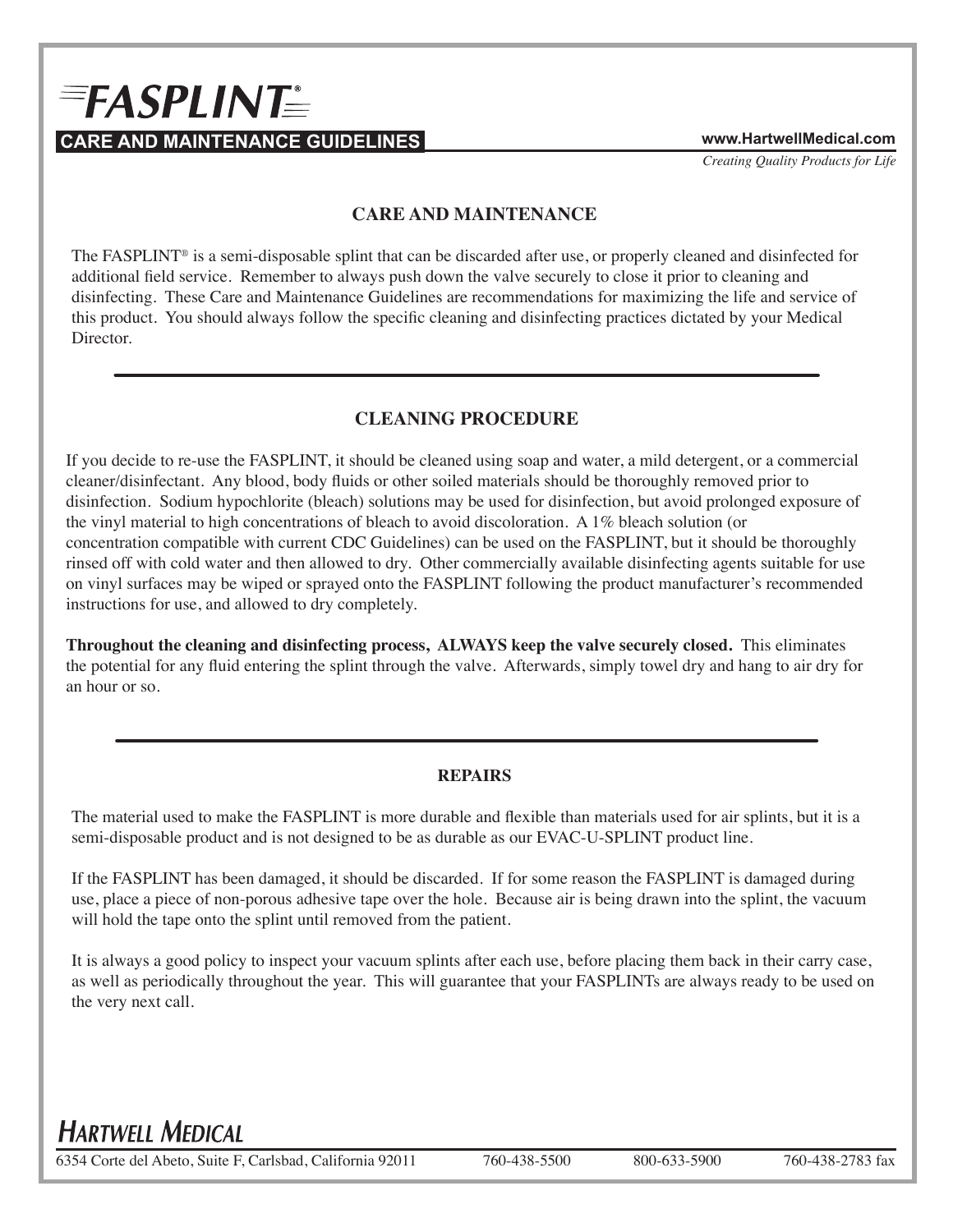# $E = FASPLINT$ **CARE AND MAINTENANCE GUIDELINES www.HartwellMedical.com**

*Creating Quality Products for Life*

### **CARE AND MAINTENANCE**

The FASPLINT® is a semi-disposable splint that can be discarded after use, or properly cleaned and disinfected for additional field service. Remember to always push down the valve securely to close it prior to cleaning and disinfecting. These Care and Maintenance Guidelines are recommendations for maximizing the life and service of this product. You should always follow the specific cleaning and disinfecting practices dictated by your Medical Director.

### **CLEANING PROCEDURE**

If you decide to re-use the FASPLINT, it should be cleaned using soap and water, a mild detergent, or a commercial cleaner/disinfectant. Any blood, body fluids or other soiled materials should be thoroughly removed prior to disinfection. Sodium hypochlorite (bleach) solutions may be used for disinfection, but avoid prolonged exposure of the vinyl material to high concentrations of bleach to avoid discoloration. A 1% bleach solution (or concentration compatible with current CDC Guidelines) can be used on the FASPLINT, but it should be thoroughly rinsed off with cold water and then allowed to dry. Other commercially available disinfecting agents suitable for use on vinyl surfaces may be wiped or sprayed onto the FASPLINT following the product manufacturer's recommended instructions for use, and allowed to dry completely.

**Throughout the cleaning and disinfecting process, ALWAYS keep the valve securely closed.** This eliminates the potential for any fluid entering the splint through the valve. Afterwards, simply towel dry and hang to air dry for an hour or so.

### **REPAIRS**

The material used to make the FASPLINT is more durable and flexible than materials used for air splints, but it is a semi-disposable product and is not designed to be as durable as our EVAC-U-SPLINT product line.

If the FASPLINT has been damaged, it should be discarded. If for some reason the FASPLINT is damaged during use, place a piece of non-porous adhesive tape over the hole. Because air is being drawn into the splint, the vacuum will hold the tape onto the splint until removed from the patient.

It is always a good policy to inspect your vacuum splints after each use, before placing them back in their carry case, as well as periodically throughout the year. This will guarantee that your FASPLINTs are always ready to be used on the very next call.

## **HARTWELL MEDICAL**

6354 Corte del Abeto, Suite F, Carlsbad, California 92011 760-438-5500 800-633-5900 760-438-2783 fax